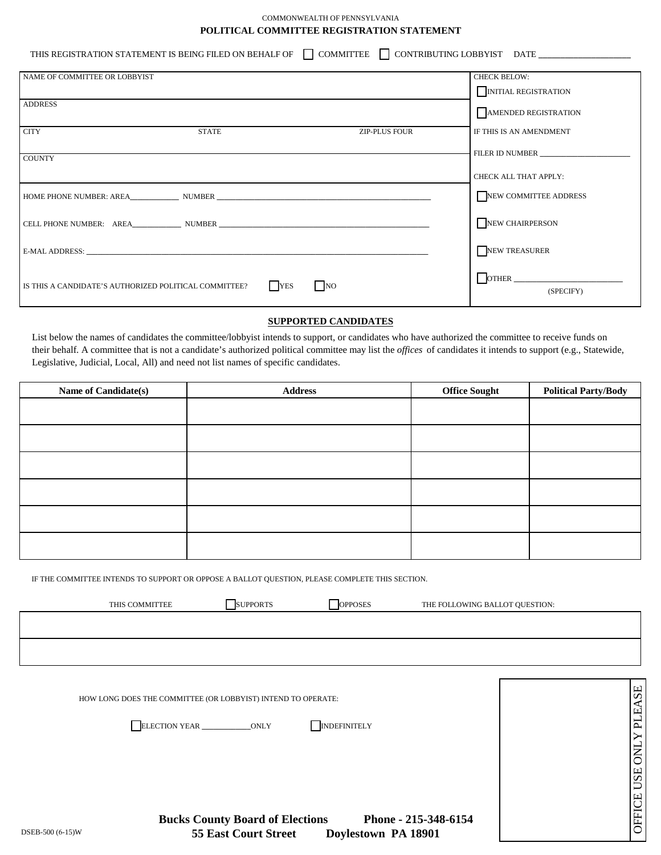### COMMONWEALTH OF PENNSYLVANIA **POLITICAL COMMITTEE REGISTRATION STATEMENT**

THIS REGISTRATION STATEMENT IS BEING FILED ON BEHALF OF  $\Box$  COMMITTEE  $\Box$  CONTRIBUTING LOBBYIST DATE

| NAME OF COMMITTEE OR LOBBYIST                                                                                                                                                                                                  | <b>CHECK BELOW:</b>        |
|--------------------------------------------------------------------------------------------------------------------------------------------------------------------------------------------------------------------------------|----------------------------|
|                                                                                                                                                                                                                                | <b>NITIAL REGISTRATION</b> |
| <b>ADDRESS</b>                                                                                                                                                                                                                 | AMENDED REGISTRATION       |
|                                                                                                                                                                                                                                |                            |
| <b>CITY</b><br><b>STATE</b><br><b>ZIP-PLUS FOUR</b>                                                                                                                                                                            | IF THIS IS AN AMENDMENT    |
|                                                                                                                                                                                                                                | FILER ID NUMBER            |
| <b>COUNTY</b>                                                                                                                                                                                                                  |                            |
|                                                                                                                                                                                                                                | CHECK ALL THAT APPLY:      |
| HOME PHONE NUMBER: AREA NUMBER                                                                                                                                                                                                 | NEW COMMITTEE ADDRESS      |
| CELL PHONE NUMBER: AREA NUMBER NUMBER                                                                                                                                                                                          | NEW CHAIRPERSON            |
| E-MAL ADDRESS: Universe of the contract of the contract of the contract of the contract of the contract of the contract of the contract of the contract of the contract of the contract of the contract of the contract of the | NEW TREASURER              |
| $\overline{N}$<br><b>T</b> YES<br>IS THIS A CANDIDATE'S AUTHORIZED POLITICAL COMMITTEE?                                                                                                                                        | (SPECIFY)                  |

# **SUPPORTED CANDIDATES**

List below the names of candidates the committee/lobbyist intends to support, or candidates who have authorized the committee to receive funds on their behalf. A committee that is not a candidate's authorized political committee may list the *offices* of candidates it intends to support (e.g., Statewide, Legislative, Judicial, Local, All) and need not list names of specific candidates.

| Name of Candidate(s) | <b>Address</b> | <b>Office Sought</b> | <b>Political Party/Body</b> |
|----------------------|----------------|----------------------|-----------------------------|
|                      |                |                      |                             |
|                      |                |                      |                             |
|                      |                |                      |                             |
|                      |                |                      |                             |
|                      |                |                      |                             |
|                      |                |                      |                             |

IF THE COMMITTEE INTENDS TO SUPPORT OR OPPOSE A BALLOT QUESTION, PLEASE COMPLETE THIS SECTION.

| THE FOLLOWING BALLOT QUESTION: |
|--------------------------------|
|                                |
|                                |
|                                |

OFFICE USE ONLY PLEASE OFFICE USE ONLY PLEASE HOW LONG DOES THE COMMITTEE (OR LOBBYIST) INTEND TO OPERATE: **ELECTION YEAR** \_\_\_\_\_\_\_\_\_\_\_\_\_\_\_ONLY **INDEFINITELY Bucks County Board of Elections Phone - 215-348-6154** DSEB-500 (6-15)W **55 East Court Street Doylestown PA 18901**